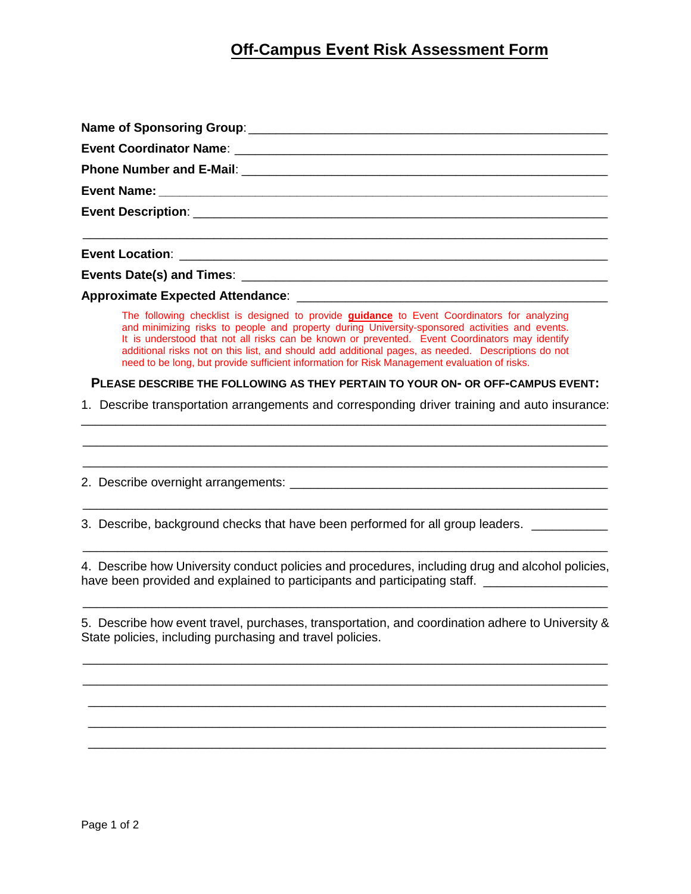## **Off-Campus Event Risk Assessment Form**

| The following checklist is designed to provide <b>guidance</b> to Event Coordinators for analyzing<br>and minimizing risks to people and property during University-sponsored activities and events.<br>It is understood that not all risks can be known or prevented. Event Coordinators may identify<br>additional risks not on this list, and should add additional pages, as needed. Descriptions do not<br>need to be long, but provide sufficient information for Risk Management evaluation of risks. |
|--------------------------------------------------------------------------------------------------------------------------------------------------------------------------------------------------------------------------------------------------------------------------------------------------------------------------------------------------------------------------------------------------------------------------------------------------------------------------------------------------------------|
| PLEASE DESCRIBE THE FOLLOWING AS THEY PERTAIN TO YOUR ON- OR OFF-CAMPUS EVENT:                                                                                                                                                                                                                                                                                                                                                                                                                               |
| 1. Describe transportation arrangements and corresponding driver training and auto insurance:                                                                                                                                                                                                                                                                                                                                                                                                                |
|                                                                                                                                                                                                                                                                                                                                                                                                                                                                                                              |
| 3. Describe, background checks that have been performed for all group leaders.                                                                                                                                                                                                                                                                                                                                                                                                                               |
| 4. Describe how University conduct policies and procedures, including drug and alcohol policies,<br>have been provided and explained to participants and participating staff. _________________________                                                                                                                                                                                                                                                                                                      |
| 5. Describe how event travel, purchases, transportation, and coordination adhere to University &<br>State policies, including purchasing and travel policies.                                                                                                                                                                                                                                                                                                                                                |
|                                                                                                                                                                                                                                                                                                                                                                                                                                                                                                              |
|                                                                                                                                                                                                                                                                                                                                                                                                                                                                                                              |

 \_\_\_\_\_\_\_\_\_\_\_\_\_\_\_\_\_\_\_\_\_\_\_\_\_\_\_\_\_\_\_\_\_\_\_\_\_\_\_\_\_\_\_\_\_\_\_\_\_\_\_\_\_\_\_\_\_\_\_\_\_\_\_\_\_\_\_\_\_\_\_\_\_\_\_ \_\_\_\_\_\_\_\_\_\_\_\_\_\_\_\_\_\_\_\_\_\_\_\_\_\_\_\_\_\_\_\_\_\_\_\_\_\_\_\_\_\_\_\_\_\_\_\_\_\_\_\_\_\_\_\_\_\_\_\_\_\_\_\_\_\_\_\_\_\_\_\_\_\_\_